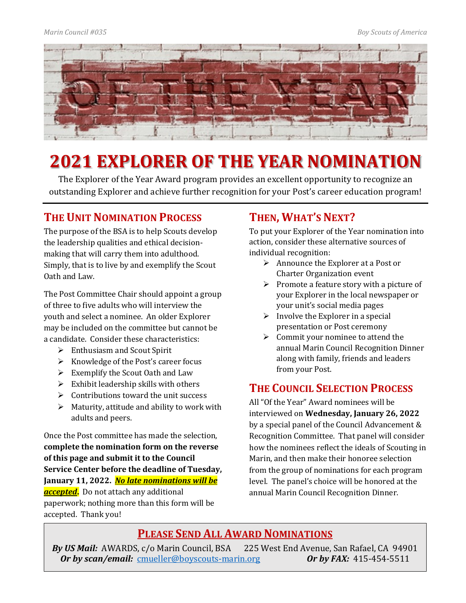

## **2021 EXPLORER OF THE YEAR NOMINATION**

The Explorer of the Year Award program provides an excellent opportunity to recognize an outstanding Explorer and achieve further recognition for your Post's career education program!

## **THE UNIT NOMINATION PROCESS**

The purpose of the BSA is to help Scouts develop the leadership qualities and ethical decisionmaking that will carry them into adulthood. Simply, that is to live by and exemplify the Scout Oath and Law.

The Post Committee Chair should appoint a group of three to five adults who will interview the youth and select a nominee. An older Explorer may be included on the committee but cannot be a candidate. Consider these characteristics:

- $\triangleright$  Enthusiasm and Scout Spirit
- $\triangleright$  Knowledge of the Post's career focus
- $\triangleright$  Exemplify the Scout Oath and Law
- $\triangleright$  Exhibit leadership skills with others
- $\triangleright$  Contributions toward the unit success
- $\triangleright$  Maturity, attitude and ability to work with adults and peers.

Once the Post committee has made the selection, **complete the nomination form on the reverse of this page and submit it to the Council Service Center before the deadline of Tuesday, January 11, 2022.** *No late nominations will be accepted***.** Do not attach any additional paperwork; nothing more than this form will be accepted. Thank you!

## **THEN, WHAT'S NEXT?**

To put your Explorer of the Year nomination into action, consider these alternative sources of individual recognition:

- $\triangleright$  Announce the Explorer at a Post or Charter Organization event
- $\triangleright$  Promote a feature story with a picture of your Explorer in the local newspaper or your unit's social media pages
- $\triangleright$  Involve the Explorer in a special presentation or Post ceremony
- $\triangleright$  Commit your nominee to attend the annual Marin Council Recognition Dinner along with family, friends and leaders from your Post.

## **THE COUNCIL SELECTION PROCESS**

All "Of the Year" Award nominees will be interviewed on **Wednesday, January 26, 2022** by a special panel of the Council Advancement & Recognition Committee. That panel will consider how the nominees reflect the ideals of Scouting in Marin, and then make their honoree selection from the group of nominations for each program level. The panel's choice will be honored at the annual Marin Council Recognition Dinner.

### **PLEASE SEND ALL AWARD NOMINATIONS**

*By US Mail:* AWARDS, c/o Marin Council, BSA 225 West End Avenue, San Rafael, CA 94901<br>*Or by scan/email:* cmueller@boyscouts-marin.org *Or by FAX:* 415-454-5511 *Or by scan/email: [cmueller@boyscouts-marin.org](mailto:cmueller@boyscouts-marin.org)*